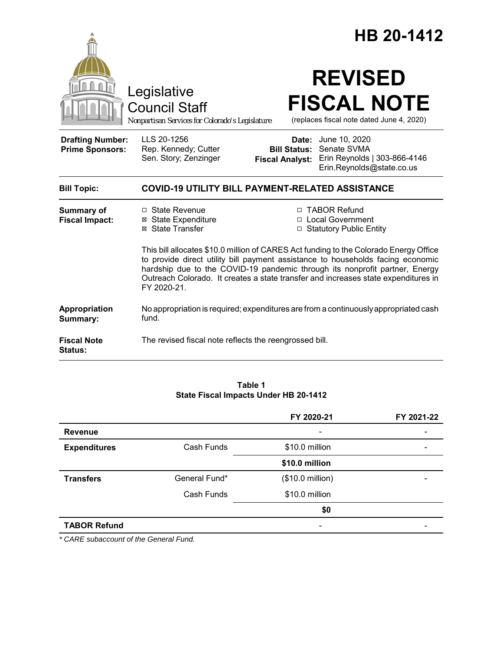|                                                   |                                                                                                                                                                                                                                                                                                                                                              |                                                        | HB 20-1412                                                                                |  |
|---------------------------------------------------|--------------------------------------------------------------------------------------------------------------------------------------------------------------------------------------------------------------------------------------------------------------------------------------------------------------------------------------------------------------|--------------------------------------------------------|-------------------------------------------------------------------------------------------|--|
|                                                   | Legislative<br><b>Council Staff</b><br>Nonpartisan Services for Colorado's Legislature                                                                                                                                                                                                                                                                       |                                                        | <b>REVISED</b><br><b>FISCAL NOTE</b><br>(replaces fiscal note dated June 4, 2020)         |  |
| <b>Drafting Number:</b><br><b>Prime Sponsors:</b> | LLS 20-1256<br>Rep. Kennedy; Cutter<br>Sen. Story; Zenzinger                                                                                                                                                                                                                                                                                                 | Date:<br><b>Bill Status:</b><br><b>Fiscal Analyst:</b> | June 10, 2020<br>Senate SVMA<br>Erin Reynolds   303-866-4146<br>Erin.Reynolds@state.co.us |  |
| <b>Bill Topic:</b>                                | <b>COVID-19 UTILITY BILL PAYMENT-RELATED ASSISTANCE</b>                                                                                                                                                                                                                                                                                                      |                                                        |                                                                                           |  |
| <b>Summary of</b><br><b>Fiscal Impact:</b>        | □ State Revenue<br><b>⊠</b> State Expenditure<br>⊠ State Transfer                                                                                                                                                                                                                                                                                            |                                                        | □ TABOR Refund<br>□ Local Government<br>□ Statutory Public Entity                         |  |
|                                                   | This bill allocates \$10.0 million of CARES Act funding to the Colorado Energy Office<br>to provide direct utility bill payment assistance to households facing economic<br>hardship due to the COVID-19 pandemic through its nonprofit partner, Energy<br>Outreach Colorado. It creates a state transfer and increases state expenditures in<br>FY 2020-21. |                                                        |                                                                                           |  |
| Appropriation<br>Summary:                         | No appropriation is required; expenditures are from a continuously appropriated cash<br>fund.                                                                                                                                                                                                                                                                |                                                        |                                                                                           |  |
| <b>Fiscal Note</b><br>Status:                     | The revised fiscal note reflects the reengrossed bill.                                                                                                                                                                                                                                                                                                       |                                                        |                                                                                           |  |

#### **Table 1 State Fiscal Impacts Under HB 20-1412**

|                     |               | FY 2020-21       | FY 2021-22 |
|---------------------|---------------|------------------|------------|
| <b>Revenue</b>      |               | -                |            |
| <b>Expenditures</b> | Cash Funds    | \$10.0 million   |            |
|                     |               | \$10.0 million   |            |
| <b>Transfers</b>    | General Fund* | (\$10.0 million) |            |
|                     | Cash Funds    | \$10.0 million   |            |
|                     |               | \$0              |            |
| <b>TABOR Refund</b> |               | -                |            |

*\* CARE subaccount of the General Fund.*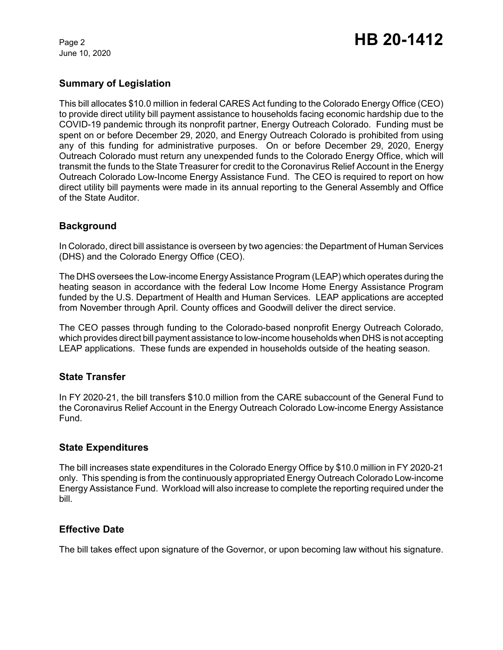June 10, 2020

# **Summary of Legislation**

This bill allocates \$10.0 million in federal CARES Act funding to the Colorado Energy Office (CEO) to provide direct utility bill payment assistance to households facing economic hardship due to the COVID-19 pandemic through its nonprofit partner, Energy Outreach Colorado. Funding must be spent on or before December 29, 2020, and Energy Outreach Colorado is prohibited from using any of this funding for administrative purposes. On or before December 29, 2020, Energy Outreach Colorado must return any unexpended funds to the Colorado Energy Office, which will transmit the funds to the State Treasurer for credit to the Coronavirus Relief Account in the Energy Outreach Colorado Low-Income Energy Assistance Fund. The CEO is required to report on how direct utility bill payments were made in its annual reporting to the General Assembly and Office of the State Auditor.

## **Background**

In Colorado, direct bill assistance is overseen by two agencies: the Department of Human Services (DHS) and the Colorado Energy Office (CEO).

The DHS oversees the Low-income EnergyAssistance Program (LEAP) which operates during the heating season in accordance with the federal Low Income Home Energy Assistance Program funded by the U.S. Department of Health and Human Services. LEAP applications are accepted from November through April. County offices and Goodwill deliver the direct service.

The CEO passes through funding to the Colorado-based nonprofit Energy Outreach Colorado, which provides direct bill payment assistance to low-income households when DHS is not accepting LEAP applications. These funds are expended in households outside of the heating season.

#### **State Transfer**

In FY 2020-21, the bill transfers \$10.0 million from the CARE subaccount of the General Fund to the Coronavirus Relief Account in the Energy Outreach Colorado Low-income Energy Assistance Fund.

#### **State Expenditures**

The bill increases state expenditures in the Colorado Energy Office by \$10.0 million in FY 2020-21 only. This spending is from the continuously appropriated Energy Outreach Colorado Low-income Energy Assistance Fund. Workload will also increase to complete the reporting required under the bill.

## **Effective Date**

The bill takes effect upon signature of the Governor, or upon becoming law without his signature.